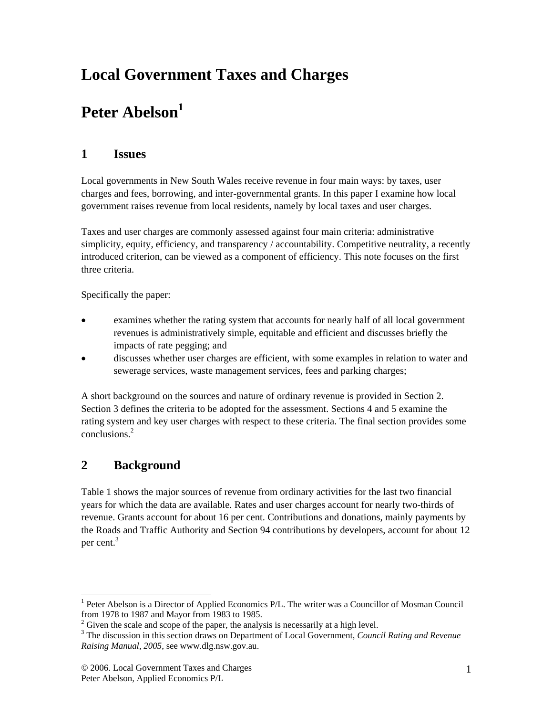# **Local Government Taxes and Charges**

# **Peter Abelson<sup>1</sup>**

#### **1 Issues**

Local governments in New South Wales receive revenue in four main ways: by taxes, user charges and fees, borrowing, and inter-governmental grants. In this paper I examine how local government raises revenue from local residents, namely by local taxes and user charges.

Taxes and user charges are commonly assessed against four main criteria: administrative simplicity, equity, efficiency, and transparency / accountability. Competitive neutrality, a recently introduced criterion, can be viewed as a component of efficiency. This note focuses on the first three criteria.

Specifically the paper:

- examines whether the rating system that accounts for nearly half of all local government revenues is administratively simple, equitable and efficient and discusses briefly the impacts of rate pegging; and
- discusses whether user charges are efficient, with some examples in relation to water and sewerage services, waste management services, fees and parking charges;

A short background on the sources and nature of ordinary revenue is provided in Section 2. Section 3 defines the criteria to be adopted for the assessment. Sections 4 and 5 examine the rating system and key user charges with respect to these criteria. The final section provides some conclusions.<sup>2</sup>

#### **2 Background**

 $\overline{\phantom{a}}$ 

Table 1 shows the major sources of revenue from ordinary activities for the last two financial years for which the data are available. Rates and user charges account for nearly two-thirds of revenue. Grants account for about 16 per cent. Contributions and donations, mainly payments by the Roads and Traffic Authority and Section 94 contributions by developers, account for about 12 per cent.<sup>3</sup>

<sup>&</sup>lt;sup>1</sup> Peter Abelson is a Director of Applied Economics P/L. The writer was a Councillor of Mosman Council from 1978 to 1987 and Mayor from 1983 to 1985.

 $^2$  Given the scale and scope of the paper, the analysis is necessarily at a high level.

The discussion in this section draws on Department of Local Government, *Council Rating and Revenue Raising Manual, 2005*, see www.dlg.nsw.gov.au.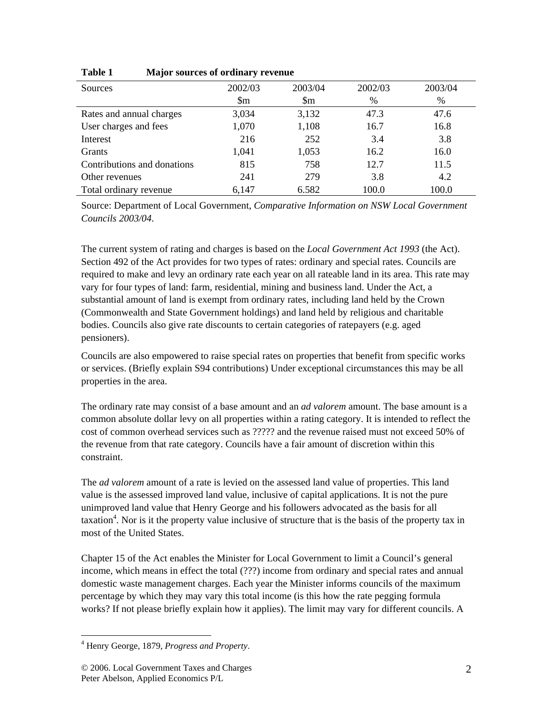| Sources                     | 2002/03                | 2003/04          | 2002/03 | 2003/04 |  |
|-----------------------------|------------------------|------------------|---------|---------|--|
|                             | $\mathop{\mathrm{Sm}}$ | $\mathbb{S}_{m}$ | $\%$    | %       |  |
| Rates and annual charges    | 3,034                  | 3,132            | 47.3    | 47.6    |  |
| User charges and fees       | 1,070                  | 1,108            | 16.7    | 16.8    |  |
| Interest                    | 216                    | 252              | 3.4     | 3.8     |  |
| <b>Grants</b>               | 1,041                  | 1,053            | 16.2    | 16.0    |  |
| Contributions and donations | 815                    | 758              | 12.7    | 11.5    |  |
| Other revenues              | 241                    | 279              | 3.8     | 4.2     |  |
| Total ordinary revenue      | 6,147                  | 6.582            | 100.0   | 100.0   |  |

**Table 1 Major sources of ordinary revenue** 

Source: Department of Local Government, *Comparative Information on NSW Local Government Councils 2003/04*.

The current system of rating and charges is based on the *Local Government Act 1993* (the Act). Section 492 of the Act provides for two types of rates: ordinary and special rates. Councils are required to make and levy an ordinary rate each year on all rateable land in its area. This rate may vary for four types of land: farm, residential, mining and business land. Under the Act, a substantial amount of land is exempt from ordinary rates, including land held by the Crown (Commonwealth and State Government holdings) and land held by religious and charitable bodies. Councils also give rate discounts to certain categories of ratepayers (e.g. aged pensioners).

Councils are also empowered to raise special rates on properties that benefit from specific works or services. (Briefly explain S94 contributions) Under exceptional circumstances this may be all properties in the area.

The ordinary rate may consist of a base amount and an *ad valorem* amount. The base amount is a common absolute dollar levy on all properties within a rating category. It is intended to reflect the cost of common overhead services such as ????? and the revenue raised must not exceed 50% of the revenue from that rate category. Councils have a fair amount of discretion within this constraint.

The *ad valorem* amount of a rate is levied on the assessed land value of properties. This land value is the assessed improved land value, inclusive of capital applications. It is not the pure unimproved land value that Henry George and his followers advocated as the basis for all taxation<sup>4</sup>. Nor is it the property value inclusive of structure that is the basis of the property tax in most of the United States.

Chapter 15 of the Act enables the Minister for Local Government to limit a Council's general income, which means in effect the total (???) income from ordinary and special rates and annual domestic waste management charges. Each year the Minister informs councils of the maximum percentage by which they may vary this total income (is this how the rate pegging formula works? If not please briefly explain how it applies). The limit may vary for different councils. A

 $\overline{\phantom{a}}$ 4 Henry George, 1879, *Progress and Property*.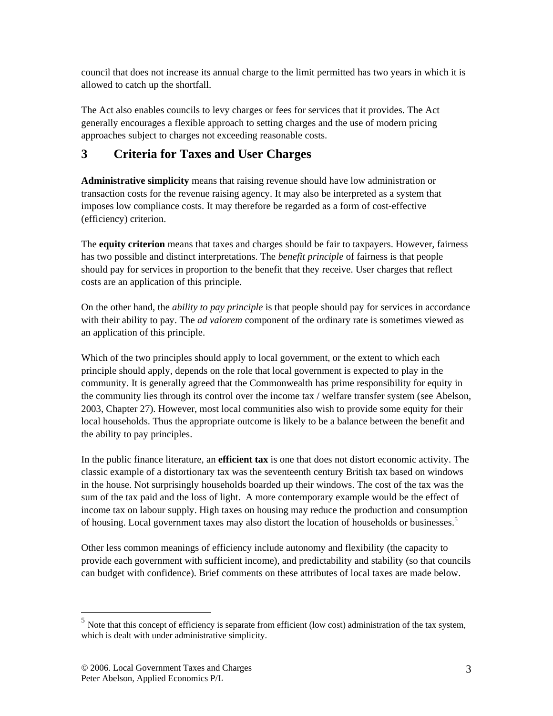council that does not increase its annual charge to the limit permitted has two years in which it is allowed to catch up the shortfall.

The Act also enables councils to levy charges or fees for services that it provides. The Act generally encourages a flexible approach to setting charges and the use of modern pricing approaches subject to charges not exceeding reasonable costs.

## **3 Criteria for Taxes and User Charges**

**Administrative simplicity** means that raising revenue should have low administration or transaction costs for the revenue raising agency. It may also be interpreted as a system that imposes low compliance costs. It may therefore be regarded as a form of cost-effective (efficiency) criterion.

The **equity criterion** means that taxes and charges should be fair to taxpayers. However, fairness has two possible and distinct interpretations. The *benefit principle* of fairness is that people should pay for services in proportion to the benefit that they receive. User charges that reflect costs are an application of this principle.

On the other hand, the *ability to pay principle* is that people should pay for services in accordance with their ability to pay. The *ad valorem* component of the ordinary rate is sometimes viewed as an application of this principle.

Which of the two principles should apply to local government, or the extent to which each principle should apply, depends on the role that local government is expected to play in the community. It is generally agreed that the Commonwealth has prime responsibility for equity in the community lies through its control over the income tax / welfare transfer system (see Abelson, 2003, Chapter 27). However, most local communities also wish to provide some equity for their local households. Thus the appropriate outcome is likely to be a balance between the benefit and the ability to pay principles.

In the public finance literature, an **efficient tax** is one that does not distort economic activity. The classic example of a distortionary tax was the seventeenth century British tax based on windows in the house. Not surprisingly households boarded up their windows. The cost of the tax was the sum of the tax paid and the loss of light. A more contemporary example would be the effect of income tax on labour supply. High taxes on housing may reduce the production and consumption of housing. Local government taxes may also distort the location of households or businesses.<sup>5</sup>

Other less common meanings of efficiency include autonomy and flexibility (the capacity to provide each government with sufficient income), and predictability and stability (so that councils can budget with confidence). Brief comments on these attributes of local taxes are made below.

 $\overline{a}$ 

 $<sup>5</sup>$  Note that this concept of efficiency is separate from efficient (low cost) administration of the tax system,</sup> which is dealt with under administrative simplicity.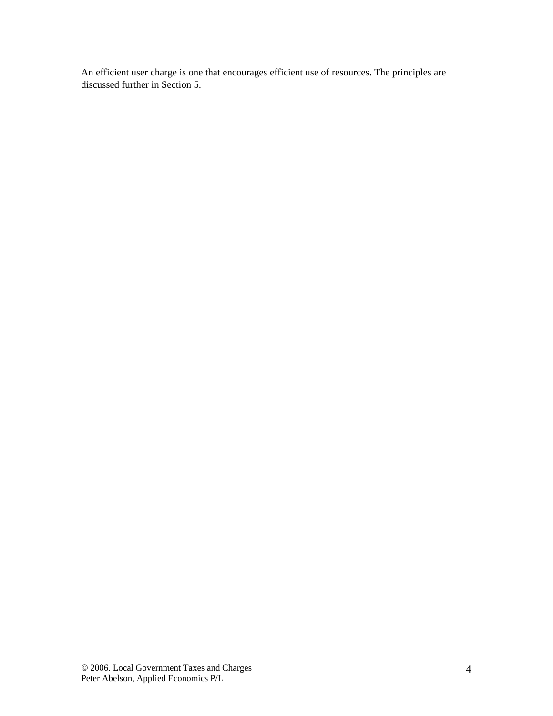An efficient user charge is one that encourages efficient use of resources. The principles are discussed further in Section 5.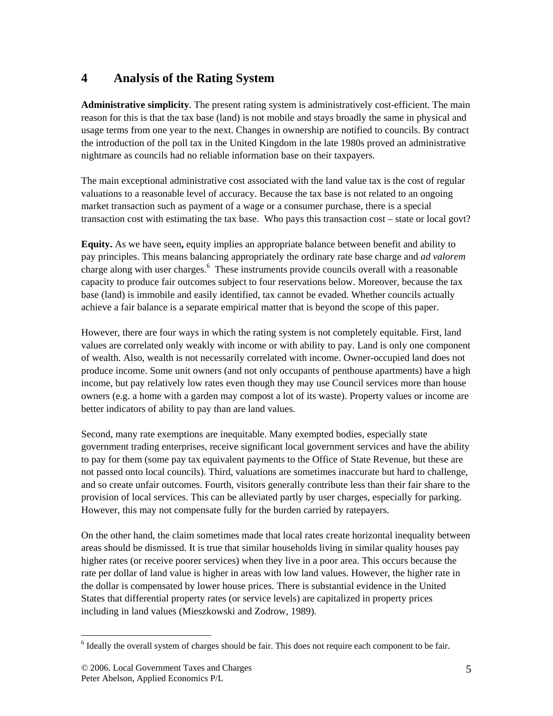#### **4 Analysis of the Rating System**

**Administrative simplicity**. The present rating system is administratively cost-efficient. The main reason for this is that the tax base (land) is not mobile and stays broadly the same in physical and usage terms from one year to the next. Changes in ownership are notified to councils. By contract the introduction of the poll tax in the United Kingdom in the late 1980s proved an administrative nightmare as councils had no reliable information base on their taxpayers.

The main exceptional administrative cost associated with the land value tax is the cost of regular valuations to a reasonable level of accuracy. Because the tax base is not related to an ongoing market transaction such as payment of a wage or a consumer purchase, there is a special transaction cost with estimating the tax base. Who pays this transaction cost – state or local govt?

**Equity.** As we have seen**,** equity implies an appropriate balance between benefit and ability to pay principles. This means balancing appropriately the ordinary rate base charge and *ad valorem* charge along with user charges.<sup>6</sup> These instruments provide councils overall with a reasonable capacity to produce fair outcomes subject to four reservations below. Moreover, because the tax base (land) is immobile and easily identified, tax cannot be evaded. Whether councils actually achieve a fair balance is a separate empirical matter that is beyond the scope of this paper.

However, there are four ways in which the rating system is not completely equitable. First, land values are correlated only weakly with income or with ability to pay. Land is only one component of wealth. Also, wealth is not necessarily correlated with income. Owner-occupied land does not produce income. Some unit owners (and not only occupants of penthouse apartments) have a high income, but pay relatively low rates even though they may use Council services more than house owners (e.g. a home with a garden may compost a lot of its waste). Property values or income are better indicators of ability to pay than are land values.

Second, many rate exemptions are inequitable. Many exempted bodies, especially state government trading enterprises, receive significant local government services and have the ability to pay for them (some pay tax equivalent payments to the Office of State Revenue, but these are not passed onto local councils). Third, valuations are sometimes inaccurate but hard to challenge, and so create unfair outcomes. Fourth, visitors generally contribute less than their fair share to the provision of local services. This can be alleviated partly by user charges, especially for parking. However, this may not compensate fully for the burden carried by ratepayers.

On the other hand, the claim sometimes made that local rates create horizontal inequality between areas should be dismissed. It is true that similar households living in similar quality houses pay higher rates (or receive poorer services) when they live in a poor area. This occurs because the rate per dollar of land value is higher in areas with low land values. However, the higher rate in the dollar is compensated by lower house prices. There is substantial evidence in the United States that differential property rates (or service levels) are capitalized in property prices including in land values (Mieszkowski and Zodrow, 1989).

 $\overline{\phantom{a}}$  $6$  Ideally the overall system of charges should be fair. This does not require each component to be fair.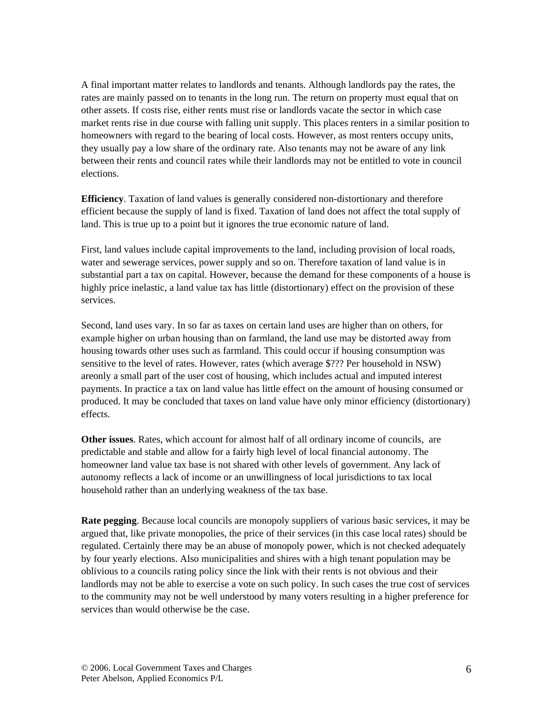A final important matter relates to landlords and tenants. Although landlords pay the rates, the rates are mainly passed on to tenants in the long run. The return on property must equal that on other assets. If costs rise, either rents must rise or landlords vacate the sector in which case market rents rise in due course with falling unit supply. This places renters in a similar position to homeowners with regard to the bearing of local costs. However, as most renters occupy units, they usually pay a low share of the ordinary rate. Also tenants may not be aware of any link between their rents and council rates while their landlords may not be entitled to vote in council elections.

**Efficiency**. Taxation of land values is generally considered non-distortionary and therefore efficient because the supply of land is fixed. Taxation of land does not affect the total supply of land. This is true up to a point but it ignores the true economic nature of land.

First, land values include capital improvements to the land, including provision of local roads, water and sewerage services, power supply and so on. Therefore taxation of land value is in substantial part a tax on capital. However, because the demand for these components of a house is highly price inelastic, a land value tax has little (distortionary) effect on the provision of these services.

Second, land uses vary. In so far as taxes on certain land uses are higher than on others, for example higher on urban housing than on farmland, the land use may be distorted away from housing towards other uses such as farmland. This could occur if housing consumption was sensitive to the level of rates. However, rates (which average \$??? Per household in NSW) areonly a small part of the user cost of housing, which includes actual and imputed interest payments. In practice a tax on land value has little effect on the amount of housing consumed or produced. It may be concluded that taxes on land value have only minor efficiency (distortionary) effects.

**Other issues**. Rates, which account for almost half of all ordinary income of councils, are predictable and stable and allow for a fairly high level of local financial autonomy. The homeowner land value tax base is not shared with other levels of government. Any lack of autonomy reflects a lack of income or an unwillingness of local jurisdictions to tax local household rather than an underlying weakness of the tax base.

**Rate pegging**. Because local councils are monopoly suppliers of various basic services, it may be argued that, like private monopolies, the price of their services (in this case local rates) should be regulated. Certainly there may be an abuse of monopoly power, which is not checked adequately by four yearly elections. Also municipalities and shires with a high tenant population may be oblivious to a councils rating policy since the link with their rents is not obvious and their landlords may not be able to exercise a vote on such policy. In such cases the true cost of services to the community may not be well understood by many voters resulting in a higher preference for services than would otherwise be the case.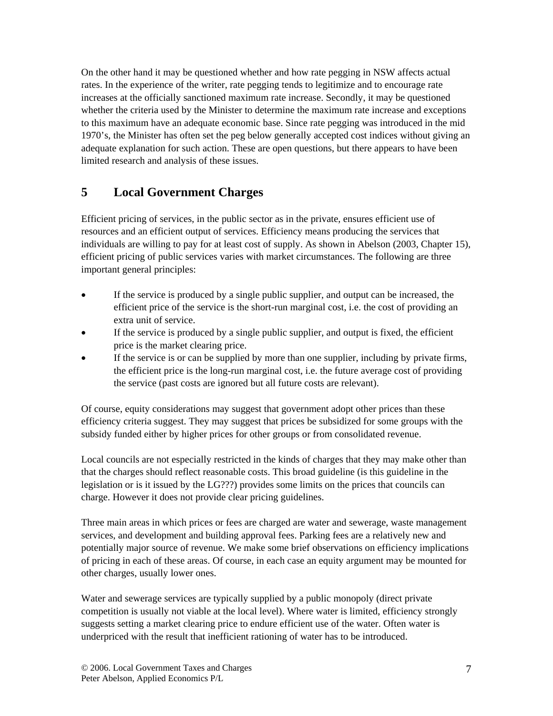On the other hand it may be questioned whether and how rate pegging in NSW affects actual rates. In the experience of the writer, rate pegging tends to legitimize and to encourage rate increases at the officially sanctioned maximum rate increase. Secondly, it may be questioned whether the criteria used by the Minister to determine the maximum rate increase and exceptions to this maximum have an adequate economic base. Since rate pegging was introduced in the mid 1970's, the Minister has often set the peg below generally accepted cost indices without giving an adequate explanation for such action. These are open questions, but there appears to have been limited research and analysis of these issues.

#### **5 Local Government Charges**

Efficient pricing of services, in the public sector as in the private, ensures efficient use of resources and an efficient output of services. Efficiency means producing the services that individuals are willing to pay for at least cost of supply. As shown in Abelson (2003, Chapter 15), efficient pricing of public services varies with market circumstances. The following are three important general principles:

- If the service is produced by a single public supplier, and output can be increased, the efficient price of the service is the short-run marginal cost, i.e. the cost of providing an extra unit of service.
- If the service is produced by a single public supplier, and output is fixed, the efficient price is the market clearing price.
- If the service is or can be supplied by more than one supplier, including by private firms, the efficient price is the long-run marginal cost, i.e. the future average cost of providing the service (past costs are ignored but all future costs are relevant).

Of course, equity considerations may suggest that government adopt other prices than these efficiency criteria suggest. They may suggest that prices be subsidized for some groups with the subsidy funded either by higher prices for other groups or from consolidated revenue.

Local councils are not especially restricted in the kinds of charges that they may make other than that the charges should reflect reasonable costs. This broad guideline (is this guideline in the legislation or is it issued by the LG???) provides some limits on the prices that councils can charge. However it does not provide clear pricing guidelines.

Three main areas in which prices or fees are charged are water and sewerage, waste management services, and development and building approval fees. Parking fees are a relatively new and potentially major source of revenue. We make some brief observations on efficiency implications of pricing in each of these areas. Of course, in each case an equity argument may be mounted for other charges, usually lower ones.

Water and sewerage services are typically supplied by a public monopoly (direct private competition is usually not viable at the local level). Where water is limited, efficiency strongly suggests setting a market clearing price to endure efficient use of the water. Often water is underpriced with the result that inefficient rationing of water has to be introduced.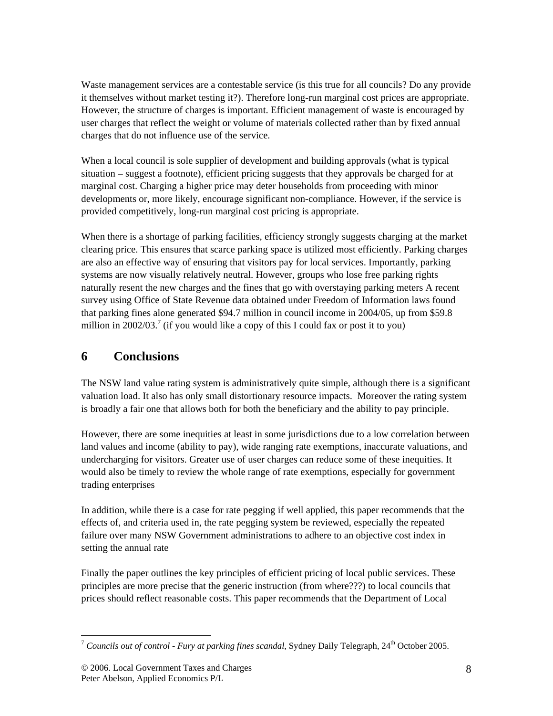Waste management services are a contestable service (is this true for all councils? Do any provide it themselves without market testing it?). Therefore long-run marginal cost prices are appropriate. However, the structure of charges is important. Efficient management of waste is encouraged by user charges that reflect the weight or volume of materials collected rather than by fixed annual charges that do not influence use of the service.

When a local council is sole supplier of development and building approvals (what is typical situation – suggest a footnote), efficient pricing suggests that they approvals be charged for at marginal cost. Charging a higher price may deter households from proceeding with minor developments or, more likely, encourage significant non-compliance. However, if the service is provided competitively, long-run marginal cost pricing is appropriate.

When there is a shortage of parking facilities, efficiency strongly suggests charging at the market clearing price. This ensures that scarce parking space is utilized most efficiently. Parking charges are also an effective way of ensuring that visitors pay for local services. Importantly, parking systems are now visually relatively neutral. However, groups who lose free parking rights naturally resent the new charges and the fines that go with overstaying parking meters A recent survey using Office of State Revenue data obtained under Freedom of Information laws found that parking fines alone generated \$94.7 million in council income in 2004/05, up from \$59.8 million in 2002/03.<sup>7</sup> (if you would like a copy of this I could fax or post it to you)

## **6 Conclusions**

The NSW land value rating system is administratively quite simple, although there is a significant valuation load. It also has only small distortionary resource impacts. Moreover the rating system is broadly a fair one that allows both for both the beneficiary and the ability to pay principle.

However, there are some inequities at least in some jurisdictions due to a low correlation between land values and income (ability to pay), wide ranging rate exemptions, inaccurate valuations, and undercharging for visitors. Greater use of user charges can reduce some of these inequities. It would also be timely to review the whole range of rate exemptions, especially for government trading enterprises

In addition, while there is a case for rate pegging if well applied, this paper recommends that the effects of, and criteria used in, the rate pegging system be reviewed, especially the repeated failure over many NSW Government administrations to adhere to an objective cost index in setting the annual rate

Finally the paper outlines the key principles of efficient pricing of local public services. These principles are more precise that the generic instruction (from where???) to local councils that prices should reflect reasonable costs. This paper recommends that the Department of Local

 $\overline{\phantom{a}}$ <sup>7</sup> *Councils out of control - Fury at parking fines scandal*, Sydney Daily Telegraph,  $24<sup>th</sup>$  October 2005.